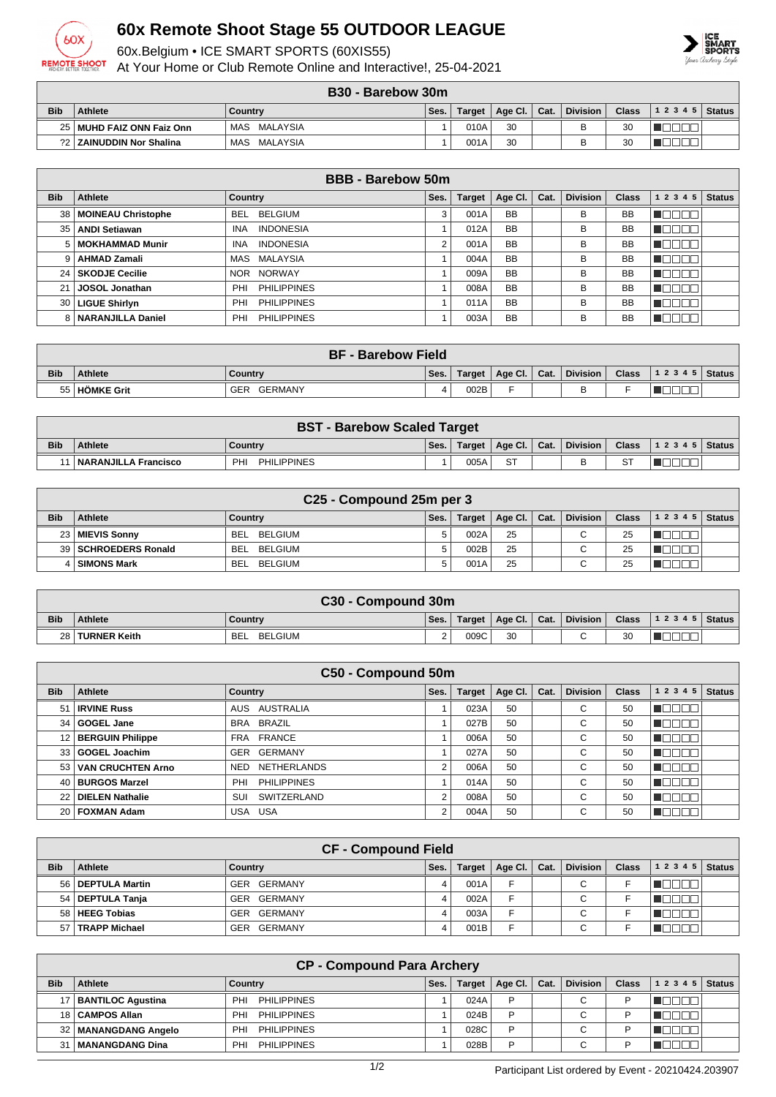

## **60x Remote Shoot Stage 55 OUTDOOR LEAGUE**

60x.Belgium • ICE SMART SPORTS (60XIS55)

At Your Home or Club Remote Online and Interactive!, 25-04-2021



## **B30 - Barebow 30m**

|            |                             | - טטש<br>· υαι συν νι συιτι |      |        |         |      |                 |                |                  |  |
|------------|-----------------------------|-----------------------------|------|--------|---------|------|-----------------|----------------|------------------|--|
| <b>Bib</b> | <b>Athlete</b>              | Country                     | Ses. | Target | Age Cl. | Cat. | <b>Division</b> | Class          | $ 12345 $ Status |  |
|            | 25   MUHD FAIZ ONN Faiz Onn | MAS MALAYSIA                |      | 010A   | 30      |      | B               | $\Omega$<br>οU |                  |  |
|            | ?2   ZAINUDDIN Nor Shalina  | MAS MALAYSIA                |      | 001A   | 30      |      | R               | 20<br>οU       |                  |  |

|                 | <b>BBB - Barebow 50m</b>  |                                |      |               |           |      |                 |              |           |               |  |  |
|-----------------|---------------------------|--------------------------------|------|---------------|-----------|------|-----------------|--------------|-----------|---------------|--|--|
| <b>Bib</b>      | Athlete                   | Country                        | Ses. | <b>Target</b> | Age CI.   | Cat. | <b>Division</b> | <b>Class</b> | 1 2 3 4 5 | <b>Status</b> |  |  |
| 38              | <b>MOINEAU Christophe</b> | . BELGIUM<br><b>BEL</b>        | 3    | 001A          | <b>BB</b> |      | В               | <b>BB</b>    |           |               |  |  |
| 35              | <b>ANDI Setiawan</b>      | <b>INDONESIA</b><br><b>INA</b> |      | 012A          | <b>BB</b> |      | в               | <b>BB</b>    |           |               |  |  |
| 5               | MOKHAMMAD Munir           | <b>INDONESIA</b><br><b>INA</b> | 2    | 001A          | <b>BB</b> |      | В               | <b>BB</b>    |           |               |  |  |
|                 | <b>AHMAD Zamali</b>       | MAS MALAYSIA                   |      | 004A          | <b>BB</b> |      | В               | <b>BB</b>    |           |               |  |  |
| 24 <sub>1</sub> | <b>SKODJE Cecilie</b>     | NOR NORWAY                     |      | 009A          | <b>BB</b> |      | в               | <b>BB</b>    |           |               |  |  |
| 21              | <b>JOSOL Jonathan</b>     | <b>PHILIPPINES</b><br>PHI      |      | 008A          | <b>BB</b> |      | в               | <b>BB</b>    | 3000      |               |  |  |
| 30 <sub>1</sub> | <b>LIGUE Shirlyn</b>      | <b>PHILIPPINES</b><br>PHI      |      | 011A          | <b>BB</b> |      | в               | <b>BB</b>    |           |               |  |  |
|                 | NARANJILLA Daniel         | <b>PHILIPPINES</b><br>PHI      |      | 003A          | <b>BB</b> |      | в               | <b>BB</b>    |           |               |  |  |

|            | <b>BF - Barebow Field</b> |                       |      |      |                         |  |          |  |                                        |  |  |
|------------|---------------------------|-----------------------|------|------|-------------------------|--|----------|--|----------------------------------------|--|--|
| <b>Bib</b> | <b>Athlete</b>            | Country               | Ses. |      | Target   Age Cl.   Cat. |  | Division |  | Class $\vert$ 1 2 3 4 5 $\vert$ Status |  |  |
|            | 55   HÖMKE Grit           | GERMANY<br><b>GER</b> | 4    | 002B |                         |  |          |  |                                        |  |  |

|            | <b>BST - Barebow Scaled Target</b> |                                 |      |      |                                    |  |              |  |                               |  |  |  |
|------------|------------------------------------|---------------------------------|------|------|------------------------------------|--|--------------|--|-------------------------------|--|--|--|
| <b>Bib</b> | <b>Athlete</b>                     | Country                         | Ses. |      | $\top$ Target   Age Cl.   Cat.   . |  | ∣ Division I |  | <b>Class</b> $ 12345 $ Status |  |  |  |
|            | <b>NARANJILLA Francisco</b>        | <b>PHILIPPINES</b><br><b>PH</b> |      | 005A | <b>ST</b>                          |  |              |  |                               |  |  |  |

|            | C25 - Compound 25m per 3 |                |      |        |                      |  |                 |              |           |               |  |  |
|------------|--------------------------|----------------|------|--------|----------------------|--|-----------------|--------------|-----------|---------------|--|--|
| <b>Bib</b> | <b>Athlete</b>           | Country        | Ses. | Target | Age Cl. $\vert$ Cat. |  | <b>Division</b> | <b>Class</b> | 1 2 3 4 5 | <b>Status</b> |  |  |
|            | 23   MIEVIS Sonny        | BELGIUM<br>BEI |      | 002A   | 25                   |  | C               | 25           |           |               |  |  |
|            | 39   SCHROEDERS Ronald   | BELGIUM<br>BEL |      | 002B   | 25                   |  |                 | 25           |           |               |  |  |
|            | 4   SIMONS Mark          | BELGIUM<br>BEI |      | 001A   | 25                   |  |                 | 25           |           |               |  |  |

|            | C30 - Compound 30m |                       |      |        |                |  |          |              |                  |  |  |  |
|------------|--------------------|-----------------------|------|--------|----------------|--|----------|--------------|------------------|--|--|--|
| <b>Bib</b> | <b>Athlete</b>     | Country               | Ses. | Target | Age Cl.   Cat. |  | Division | <b>Class</b> | $ 12345 $ Status |  |  |  |
|            | 28 TURNER Keith    | BELGIUM<br><b>BEL</b> |      | 009C   | 30             |  | $\sim$   | 20<br>ບບ     |                  |  |  |  |

|            | C50 - Compound 50m     |                                  |                |               |         |      |                 |              |              |               |  |  |
|------------|------------------------|----------------------------------|----------------|---------------|---------|------|-----------------|--------------|--------------|---------------|--|--|
| <b>Bib</b> | Athlete                | <b>Country</b>                   | Ses.           | <b>Target</b> | Age Cl. | Cat. | <b>Division</b> | <b>Class</b> | 1 2 3 4<br>5 | <b>Status</b> |  |  |
| 51         | <b>IRVINE Russ</b>     | AUSTRALIA<br>AUS.                |                | 023A          | 50      |      | $\sim$<br>U     | 50           |              |               |  |  |
|            | 34 GOGEL Jane          | <b>BRAZIL</b><br><b>BRA</b>      |                | 027B          | 50      |      | C               | 50           |              |               |  |  |
|            | 12   BERGUIN Philippe  | FRANCE<br><b>FRA</b>             |                | 006A          | 50      |      | C               | 50           |              |               |  |  |
|            | 33 GOGEL Joachim       | <b>GERMANY</b><br><b>GER</b>     |                | 027A          | 50      |      | С               | 50           | חרור         |               |  |  |
|            | 53   VAN CRUCHTEN Arno | <b>NETHERLANDS</b><br><b>NED</b> | $\overline{2}$ | 006A          | 50      |      | C               | 50           |              |               |  |  |
|            | 40 BURGOS Marzel       | <b>PHILIPPINES</b><br>PHI        |                | 014A          | 50      |      | C               | 50           | חרו          |               |  |  |
|            | 22 DIELEN Nathalie     | SWITZERLAND<br>SUI               | 2              | 008A          | 50      |      | С               | 50           |              |               |  |  |
|            | 20   FOXMAN Adam       | USA<br>USA                       | 2              | 004A          | 50      |      | C               | 50           |              |               |  |  |

|            | <b>CF - Compound Field</b> |                |      |               |         |      |             |              |           |               |  |  |
|------------|----------------------------|----------------|------|---------------|---------|------|-------------|--------------|-----------|---------------|--|--|
| <b>Bib</b> | Athlete                    | Country        | Ses. | <b>Target</b> | Age Cl. | Cat. | Division    | <b>Class</b> | 1 2 3 4 5 | <b>Status</b> |  |  |
|            | 56   DEPTULA Martin        | GER GERMANY    |      | 001A          | E       |      | С           |              |           |               |  |  |
|            | 54   DEPTULA Tanja         | GER GERMANY    |      | 002A          | E       |      | $\sim$<br>◡ |              |           |               |  |  |
| 58 l       | HEEG Tobias                | GER GERMANY    |      | 003A          | E       |      | $\sim$<br>◡ |              |           |               |  |  |
| 57 I       | <b>TRAPP Michael</b>       | GERMANY<br>GER |      | 001B          | E       |      | $\sim$<br>◡ |              |           |               |  |  |

|            | <b>CP - Compound Para Archery</b> |                                       |      |               |                 |      |                 |              |       |               |  |  |
|------------|-----------------------------------|---------------------------------------|------|---------------|-----------------|------|-----------------|--------------|-------|---------------|--|--|
| <b>Bib</b> | Athlete                           | Country                               | Ses. | <b>Target</b> | Age Cl. $\vert$ | Cat. | <b>Division</b> | <b>Class</b> | 12345 | <b>Status</b> |  |  |
|            | <b>BANTILOC Aqustina</b>          | <b>PHILIPPINES</b><br>PHI             |      | 024A          | P               |      | С               |              |       |               |  |  |
|            | 18   CAMPOS Allan                 | <b>PHILIPPINES</b><br><b>PHI</b>      |      | 024B          | P               |      | $\sim$          | D            |       |               |  |  |
|            | 32   MANANGDANG Angelo            | <b>PH</b><br><b>PHILIPPINES</b>       |      | 028C          | D               |      | $\sim$          |              |       |               |  |  |
|            | MANANGDANG Dina                   | <b>PHILIPPINES</b><br>PH <sub>1</sub> |      | 028B          | D               |      | $\sim$<br>U     |              |       |               |  |  |